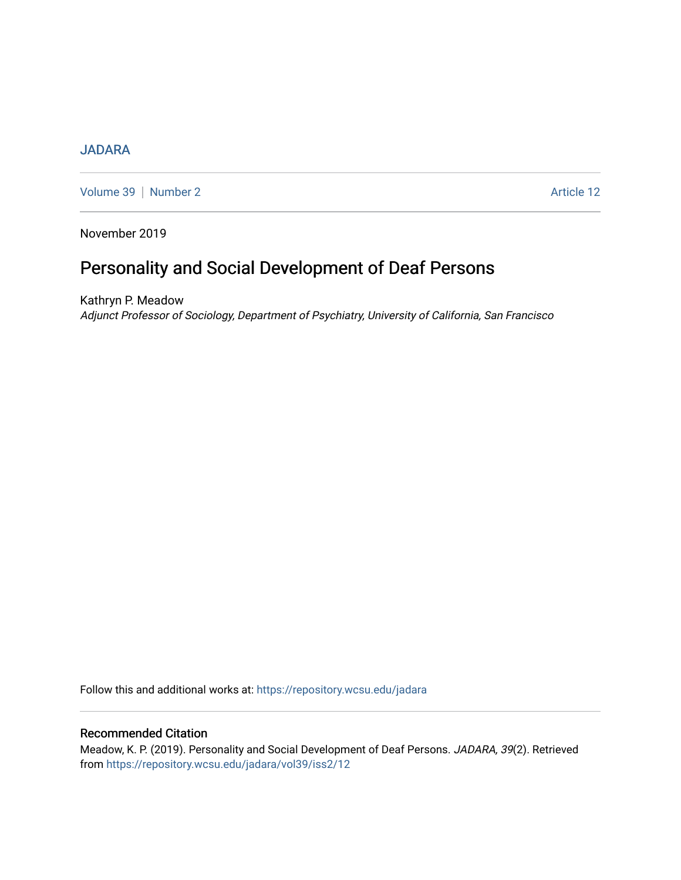# **[JADARA](https://repository.wcsu.edu/jadara)**

[Volume 39](https://repository.wcsu.edu/jadara/vol39) | [Number 2](https://repository.wcsu.edu/jadara/vol39/iss2) Article 12

November 2019

# Personality and Social Development of Deaf Persons

Kathryn P. Meadow Adjunct Professor of Sociology, Department of Psychiatry, University of California, San Francisco

Follow this and additional works at: [https://repository.wcsu.edu/jadara](https://repository.wcsu.edu/jadara?utm_source=repository.wcsu.edu%2Fjadara%2Fvol39%2Fiss2%2F12&utm_medium=PDF&utm_campaign=PDFCoverPages)

## Recommended Citation

Meadow, K. P. (2019). Personality and Social Development of Deaf Persons. JADARA, 39(2). Retrieved from [https://repository.wcsu.edu/jadara/vol39/iss2/12](https://repository.wcsu.edu/jadara/vol39/iss2/12?utm_source=repository.wcsu.edu%2Fjadara%2Fvol39%2Fiss2%2F12&utm_medium=PDF&utm_campaign=PDFCoverPages)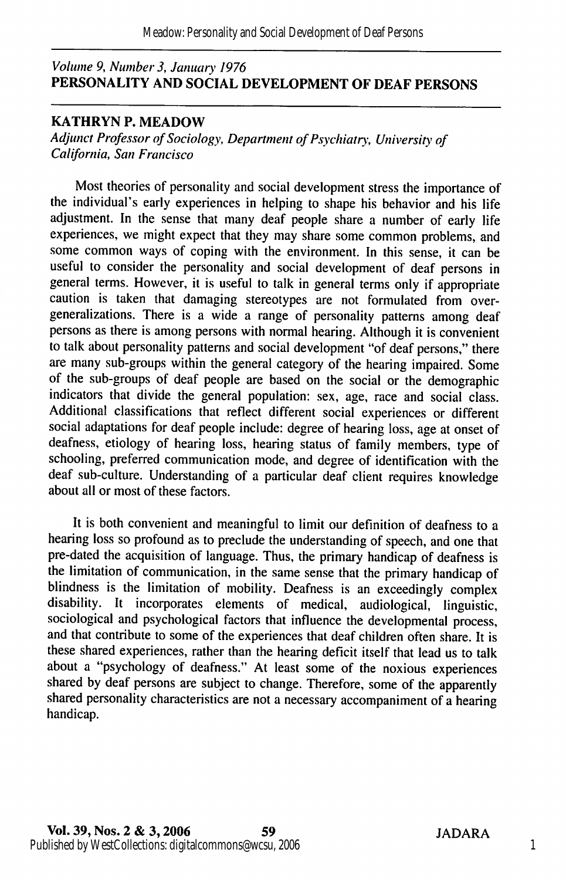## Volume 9, Number 3, January 1976 PERSONALITY AND SOCIAL DEVELOPMENT OF DEAF PERSONS

## KATHRYN P. MEADOW

Adjunct Professor of Sociology, Department of Psychiatry, University of California, San Francisco

Most theories of personality and social development stress the importance of the individual's early experiences in helping to shape his behavior and his life adjustment. In the sense that many deaf people share a number of early life experiences, we might expect that they may share some common problems, and some common ways of coping with the environment. In this sense, it can be useful to consider the personality and social development of deaf persons in general terms. However, it is useful to talk in general terms only if appropriate caution is taken that damaging stereotypes are not formulated from overgeneralizations. There is a wide a range of personality patterns among deaf persons as there is among persons with normal hearing. Although it is convenient to talk about personality patterns and social development "of deaf persons," there are many sub-groups within the general category of the hearing impaired. Some of the sub-groups of deaf people are based on the social or the demographic indicators that divide the general population: sex, age, race and social class. Additional classifications that reflect different social experiences or different social adaptations for deaf people include: degree of hearing loss, age at onset of deafness, etiology of hearing loss, hearing status of family members, type of schooling, preferred communication mode, and degree of identification with the deaf sub-culture. Understanding of a particular deaf client requires knowledge about all or most of these factors.

It is both convenient and meaningful to limit our definition of deafness to a hearing loss so profound as to preclude the understanding of speech, and one that pre-dated the acquisition of language. Thus, the primary handicap of deafness is the limitation of communication, in the same sense that the primary handicap of blindness is the limitation of mobility. Deafness is an exceedingly complex disability. It incorporates elements of medical, audiological, linguistic, sociological and psychological factors that influence the developmental process, and that contribute to some of the experiences that deaf children often share. It is these shared experiences, rather than the hearing deficit itself that lead us to talk about a "psychology of deafness." At least some of the noxious experiences shared by deaf persons are subject to change. Therefore, some of the apparently shared personality characteristics are not a necessary accompaniment of a hearing handicap.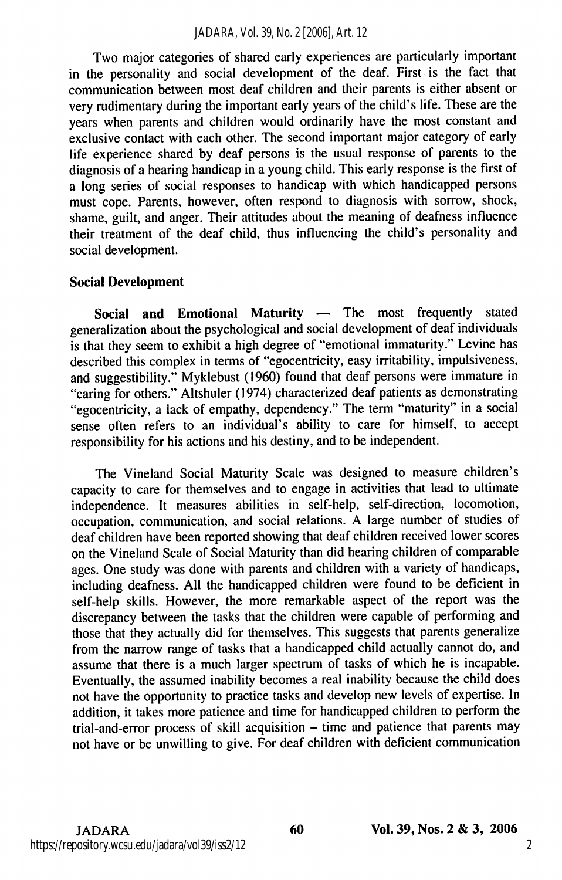Two major categories of shared early experiences are particularly important in the personality and social development of the deaf. First is the fact that communication between most deaf children and their parents is either absent or very rudimentary during the important early years of the child's life. These are the years when parents and children would ordinarily have the most constant and exclusive contact with each other. The second important major category of early life experience shared by deaf persons is the usual response of parents to the diagnosis of a hearing handicap in a young child. This early response is the first of a long series of social responses to handicap with which handicapped persons must cope. Parents, however, often respond to diagnosis with sorrow, shock, shame, guilt, and anger. Their attitudes about the meaning of deafness influence their treatment of the deaf child, thus influencing the child's personality and social development.

## Social Development

Social and Emotional Maturity — The most frequently stated generalization about the psychological and social development of deaf individuals is that they seem to exhibit a high degree of "emotional immaturity." Levine has described this complex in terms of "egocentricity, easy irritability, impulsiveness, and suggestibility." Myklebust (1960) found that deaf persons were immature in "caring for others." Altshuler (1974) characterized deaf patients as demonstrating "egocentricity, a lack of empathy, dependency." The term "maturity" in a social sense often refers to an individual's ability to care for himself, to accept responsibility for his actions and his destiny, and to be independent.

The Vineland Social Maturity Scale was designed to measure children's capacity to care for themselves and to engage in activities that lead to ultimate independence. It measures abilities in self-help, self-direction, locomotion, occupation, communication, and social relations. A large number of studies of deaf children have been reported showing that deaf children received lower scores on the Vineland Scale of Social Maturity than did hearing children of comparable ages. One study was done with parents and children with a variety of handicaps, including deafness. All the handicapped children were found to be deficient in self-help skills. However, the more remarkable aspect of the report was the discrepancy between the tasks that the children were capable of performing and those that they actually did for themselves. This suggests that parents generalize from the narrow range of tasks that a handicapped child actually cannot do, and assume that there is a much larger spectrum of tasks of which he is incapable. Eventually, the assumed inability becomes a real inability because the child does not have the opportunity to practice tasks and develop new levels of expertise. In addition, it takes more patience and time for handicapped children to perform the trial-and-error process of skill acquisition – time and patience that parents may not have or be unwilling to give. For deaf children with deficient communication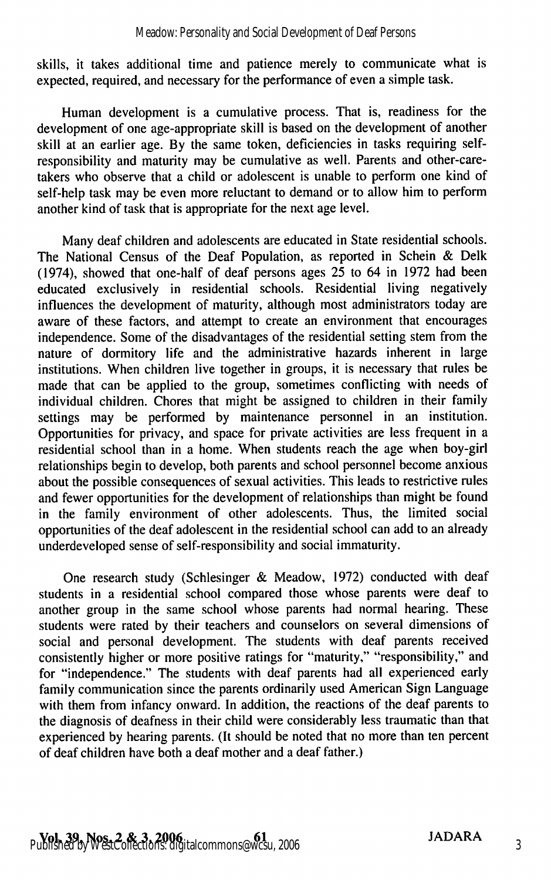skills, it takes additional time and patience merely to communicate what is expected, required, and necessary for the performance of even a simple task.

Human development is a cumulative process. That is, readiness for the development of one age-appropriate skill is based on the development of another skill at an earlier age. By the same token, deficiencies in tasks requiring selfresponsibility and maturity may be cumulative as well. Parents and other-caretakers who observe that a child or adolescent is unable to perform one kind of self-help task may be even more reluctant to demand or to allow him to perform another kind of task that is appropriate for the next age level.

Many deaf children and adolescents are educated in State residential schools. The National Census of the Deaf Population, as reported in Schein & Delk (1974), showed that one-half of deaf persons ages 25 to 64 in 1972 had been educated exclusively in residential schools. Residential living negatively influences the development of maturity, although most administrators today are aware of these factors, and attempt to create an environment that encourages independence. Some of the disadvantages of the residential setting stem from the nature of dormitory life and the administrative hazards inherent in large institutions. When children live together in groups, it is necessary that rules be made that can be applied to the group, sometimes conflicting with needs of individual children. Chores that might be assigned to children in their family settings may be performed by maintenance personnel in an institution. Opportunities for privacy, and space for private activities are less frequent in a residential school than in a home. When students reach the age when boy-girl relationships begin to develop, both parents and school personnel become anxious about the possible consequences of sexual activities. This leads to restrictive rules and fewer opportunities for the development of relationships than might be found in the family environment of other adolescents. Thus, the limited social opportunities of the deaf adolescent in the residential school can add to an already underdeveloped sense of self-responsibility and social immaturity.

One research study (Schlesinger & Meadow, 1972) conducted with deaf students in a residential school compared those whose parents were deaf to another group in the same school whose parents had normal hearing. These students were rated by their teachers and counselors on several dimensions of social and personal development. The students with deaf parents received consistently higher or more positive ratings for "maturity," "responsibility," and for "independence." The students with deaf parents had all experienced early family communication since the parents ordinarily used American Sign Language with them from infancy onward. In addition, the reactions of the deaf parents to the diagnosis of deafness in their child were considerably less traumatic than that experienced by hearing parents. (It should be noted that no more than ten percent of deaf children have both a deaf mother and a deaf father.)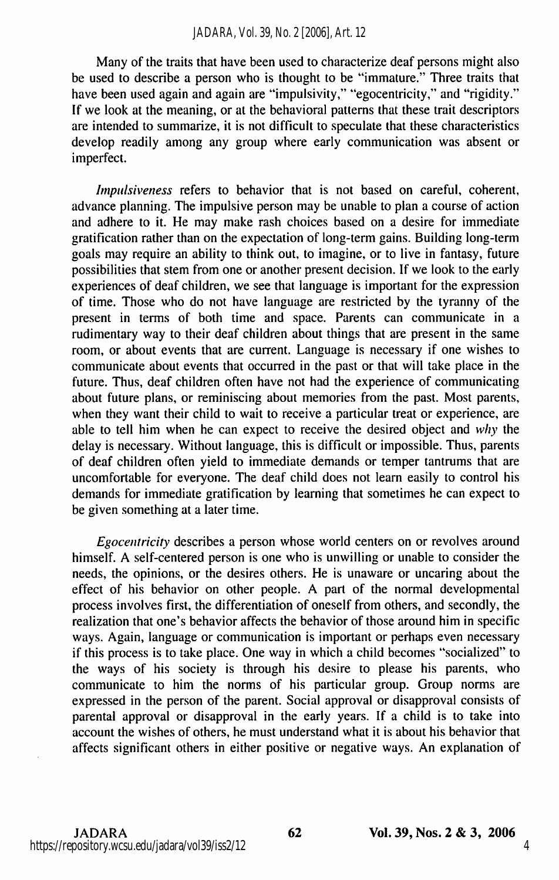Many of the traits that have been used to characterize deaf persons might also be used to describe a person who is thought to be "immature." Three traits that have been used again and again are "impulsivity," "egocentricity," and "rigidity." If we look at the meaning, or at the behavioral patterns that these trait descriptors are intended to summarize, it is not difficult to speculate that these characteristics develop readily among any group where early communication was absent or imperfect.

Impulsiveness refers to behavior that is not based on careful, coherent, advance planning. The impulsive person may be unable to plan a course of action and adhere to it. He may make rash choices based on a desire for immediate gratification rather than on the expectation of long-term gains. Building long-term goals may require an ability to think out, to imagine, or to live in fantasy, future possibilities that stem from one or another present decision. If we look to the early experiences of deaf children, we see that language is important for the expression of time. Those who do not have language are restricted by the tyranny of the present in terms of both time and space. Parents can communicate in a rudimentary way to their deaf children about things that are present in the same room, or about events that are current. Language is necessary if one wishes to communicate about events that occurred in the past or that will take place in the future. Thus, deaf children often have not had the experience of communicating about future plans, or reminiscing about memories from the past. Most parents, when they want their child to wait to receive a particular treat or experience, are able to tell him when he can expect to receive the desired object and why the delay is necessary. Without language, this is difficult or impossible. Thus, parents of deaf children often yield to immediate demands or temper tantrums that are uncomfortable for everyone. The deaf child does not learn easily to control his demands for immediate gratification by learning that sometimes he can expect to be given something at a later time.

Egocentricity describes a person whose world centers on or revolves around himself. A self-centered person is one who is unwilling or unable to consider the needs, the opinions, or the desires others. He is unaware or uncaring about the effect of his behavior on other people. A part of the normal developmental process involves first, the differentiation of oneself from others, and secondly, the realization that one's behavior affects the behavior of those around him in specific ways. Again, language or communication is important or perhaps even necessary if this process is to take place. One way in which a child becomes "socialized" to the ways of his society is through his desire to please his parents, who communicate to him the norms of his particular group. Group norms are expressed in the person of the parent. Social approval or disapproval consists of parental approval or disapproval in the early years. If a child is to take into account the wishes of others, he must understand what it is about his behavior that affects significant others in either positive or negative ways. An explanation of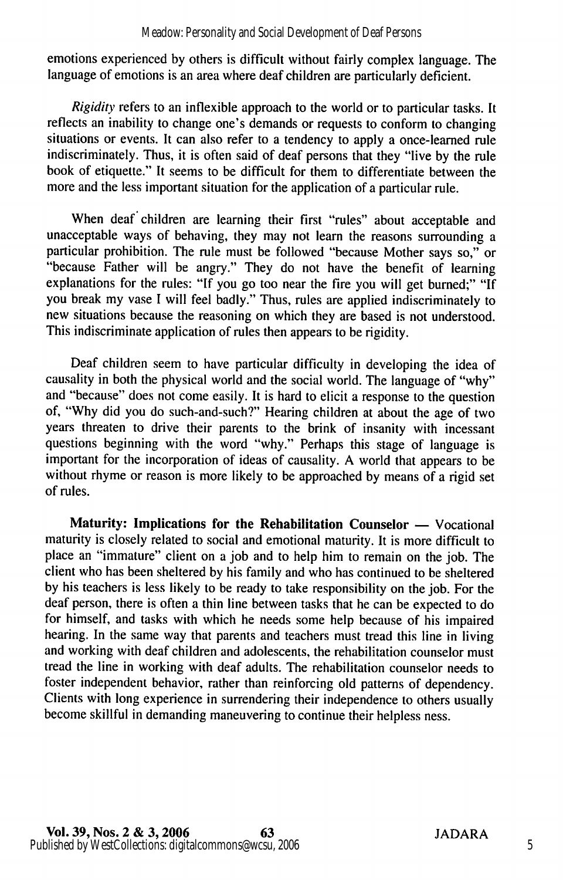emotions experienced by others is difficult without fairly complex language. The language of emotions is an area where deaf children are particularly deficient.

Rigidity refers to an inflexible approach to the world or to particular tasks. It reflects an inability to change one's demands or requests to conform to changing situations or events. It can also refer to a tendency to apply a once-learned rule indiscriminately. Thus, it is often said of deaf persons that they "live by the rule book of etiquette." It seems to be difficult for them to differentiate between the more and the less important situation for the application of a particular rule.

When deaf children are learning their first "rules" about acceptable and unacceptable ways of behaving, they may not leam the reasons surrounding a particular prohibition. The rule must be followed "because Mother says so," or "because Father will be angry." They do not have the benefit of learning explanations for the rules; "If you go too near the fire you will get burned;" "If you break my vase I will feel badly." Thus, rules are applied indiscriminately to new situations because the reasoning on which they are based is not understood. This indiscriminate application of rules then appears to be rigidity.

Deaf children seem to have particular difficulty in developing the idea of causality in both the physical world and the social world. The language of "why" and "because" does not come easily. It is hard to elicit a response to the question of, "Why did you do such-and-such?" Hearing children at about the age of two years threaten to drive their parents to the brink of insanity with incessant questions beginning with the word "why." Perhaps this stage of language is important for the incorporation of ideas of causality. A world that appears to be without rhyme or reason is more likely to be approached by means of a rigid set of rules.

Maturity: Implications for the Rehabilitation Counselor — Vocational maturity is closely related to social and emotional maturity. It is more difficult to place an "immature" client on a job and to help him to remain on the job. The client who has been sheltered by his family and who has continued to be sheltered by his teachers is less likely to be ready to take responsibility on the job. For the deaf person, there is often a thin line between tasks that he can be expected to do for himself, and tasks with which he needs some help because of his impaired hearing. In the same way that parents and teachers must tread this line in living and working with deaf children and adolescents, the rehabilitation counselor must tread the line in working with deaf adults. The rehabilitation counselor needs to foster independent behavior, rather than reinforcing old patterns of dependency. Clients with long experience in surrendering their independence to others usually become skillful in demanding maneuvering to continue their helpless ness.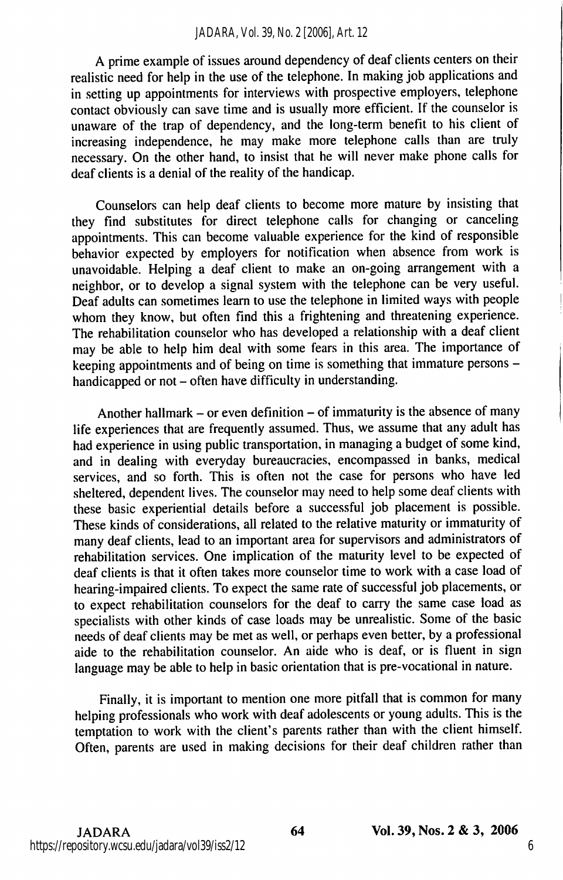#### *JADARA, Vol. 39, No. 2 [2006], Art. 12*

A prime example of issues around dependency of deaf clients centers on their realistic need for help in the use of the telephone. In making job applications and in setting up appointments for interviews with prospective employers, telephone contact obviously can save time and is usually more efficient. If the counselor is unaware of the trap of dependency, and the long-term benefit to his client of increasing independence, he may make more telephone calls than are truly necessary. On the other hand, to insist that he will never make phone calls for deaf clients is a denial of the reality of the handicap.

Counselors can help deaf clients to become more mature by insisting that they find substitutes for direct telephone calls for changing or canceling appointments. This can become valuable experience for the kind of responsible behavior expected by employers for notification when absence from work is unavoidable. Helping a deaf client to make an on-going arrangement with a neighbor, or to develop a signal system with the telephone can be very useful. Deaf adults can sometimes learn to use the telephone in limited ways with people whom they know, but often find this a frightening and threatening experience. The rehabilitation counselor who has developed a relationship with a deaf client may be able to help him deal with some fears in this area. The importance of keeping appointments and of being on time is something that immature persons handicapped or not – often have difficulty in understanding.

Another hallmark  $-$  or even definition  $-$  of immaturity is the absence of many life experiences that are frequently assumed. Thus, we assume that any adult has had experience in using public transportation, in managing a budget of some kind, and in dealing with everyday bureaucracies, encompassed in banks, medical services, and so forth. This is often not the case for persons who have led sheltered, dependent lives. The counselor may need to help some deaf clients with these basic experiential details before a successful job placement is possible. These kinds of considerations, all related to the relative maturity or immaturity of many deaf clients, lead to an important area for supervisors and administrators of rehabilitation services. One implication of the maturity level to be expected of deaf clients is that it often takes more counselor time to work with a case load of hearing-impaired clients. To expect the same rate of successful job placements, or to expect rehabilitation counselors for the deaf to carry the same case load as specialists with other kinds of case loads may be unrealistic. Some of the basic needs of deaf clients may be met as well, or perhaps even better, by a professional aide to the rehabilitation counselor. An aide who is deaf, or is fluent in sign language may be able to help in basic orientation that is pre-vocational in nature.

Finally, it is important to mention one more pitfall that is common for many helping professionals who work with deaf adolescents or young adults. This is the temptation to work with the client's parents rather than with the client himself. Often, parents are used in making decisions for their deaf children rather than

 $JADARA$  64 Vol. 39, Nos. 2 & 3, 2006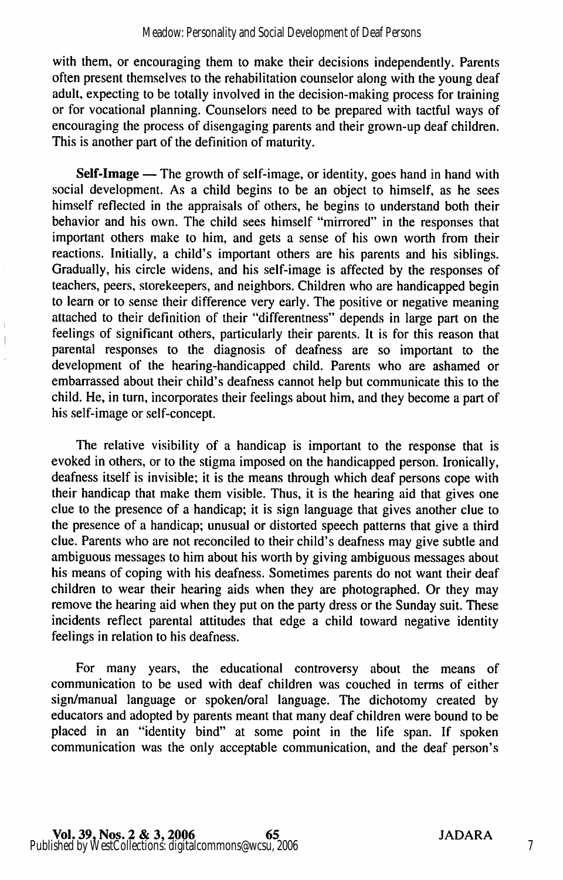with them, or encouraging them to make their decisions independently. Parents often present themselves to the rehabilitation counselor along with the young deaf adult, expecting to be totally involved in the decision-making process for training or for vocational planning. Counselors need to be prepared with tactful ways of encouraging the process of disengaging parents and their grown-up deaf children. This is another part of the definition of maturity.

Self-Image — The growth of self-image, or identity, goes hand in hand with social development. As a child begins to be an object to himself, as he sees himself reflected in the appraisals of others, he begins to understand both their behavior and his own. The child sees himself "mirrored" in the responses that important others make to him, and gets a sense of his own worth from their reactions. Initially, a child's important others are his parents and his siblings. Gradually, his circle widens, and his self-image is affected by the responses of teachers, peers, storekeepers, and neighbors. Children who are handicapped begin to learn or to sense their difference very early. The positive or negative meaning attached to their definition of their "differentness" depends in large part on the feelings of significant others, particularly their parents. It is for this reason that parental responses to the diagnosis of deafness are so important to the development of the hearing-handicapped child. Parents who are ashamed or embarrassed about their child's deafness cannot help but communicate this to the child. He, in turn, incorporates their feelings about him, and they become a part of his self-image or self-concept.

The relative visibility of a handicap is important to the response that is evoked in others, or to the stigma imposed on the handicapped person. Ironically, deafness itself is invisible; it is the means through which deaf persons cope with their handicap that make them visible. Thus, it is the hearing aid that gives one clue to the presence of a handicap; it is sign language that gives another clue to the presence of a handicap; unusual or distorted speech patterns that give a third clue. Parents who are not reconciled to their child's deafness may give subtle and ambiguous messages to him about his worth by giving ambiguous messages about his means of coping with his deafness. Sometimes parents do not want their deaf children to wear their hearing aids when they are photographed. Or they may remove the hearing aid when they put on the party dress or the Sunday suit. These incidents reflect parental attitudes that edge a child toward negative identity feelings in relation to his deafness.

For many years, the educational controversy about the means of communication to be used with deaf children was couched in terms of either sign/manual language or spoken/oral language. The dichotomy created by educators and adopted by parents meant that many deaf children were bound to be placed in an "identity bind" at some point in the life span. If spoken communication was the only acceptable communication, and the deaf person's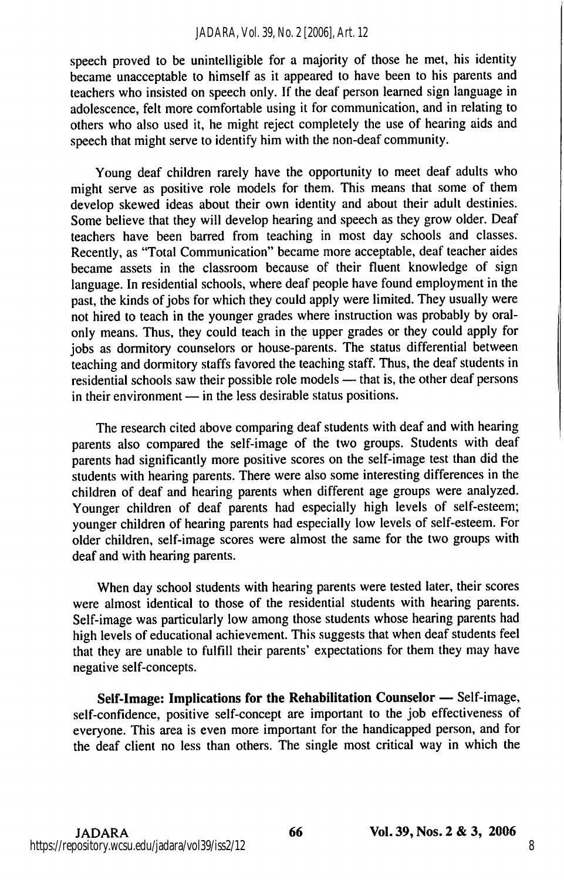#### *JADARA, Vol. 39, No. 2 [2006], Art. 12*

speech proved to be unintelligible for a majority of those he met, his identity became unacceptable to himself as it appeared to have been to his parents and teachers who insisted on speech only. If the deaf person learned sign language in adolescence, felt more comfortable using it for communication, and in relating to others who also used it, he might reject completely the use of hearing aids and speech that might serve to identify him with the non-deaf community.

Young deaf children rarely have the opportunity to meet deaf adults who might serve as positive role models for them. This means that some of them develop skewed ideas about their own identity and about their adult destinies. Some believe that they will develop hearing and speech as they grow older. Deaf teachers have been barred from teaching in most day schools and classes. Recently, as "Total Communication" became more acceptable, deaf teacher aides became assets in the classroom because of their fluent knowledge of sign language. In residential schools, where deaf people have found employment in the past, the kinds of jobs for which they could apply were limited. They usually were not hired to teach in the younger grades where instruction was probably by oralonly means. Thus, they could teach in the upper grades or they could apply for jobs as dormitory counselors or house-parents. The status differential between teaching and dormitory staffs favored the teaching staff. Thus, the deaf students in residential schools saw their possible role models — that is, the other deaf persons in their environment — in the less desirable status positions.

The research cited above comparing deaf students with deaf and with hearing parents also compared the self-image of the two groups. Students with deaf parents had significantly more positive scores on the self-image test than did the students with hearing parents. There were also some interesting differences in the children of deaf and hearing parents when different age groups were analyzed. Younger children of deaf parents had especially high levels of self-esteem; younger children of hearing parents had especially low levels of self-esteem. For older children, self-image scores were almost the same for the two groups with deaf and with hearing parents.

When day school students with hearing parents were tested later, their scores were almost identical to those of the residential students with hearing parents. Self-image was particularly low among those students whose hearing parents had high levels of educational achievement. This suggests that when deaf students feel that they are unable to fulfill their parents' expectations for them they may have negative self-concepts.

Self-Image: Implications for the Rehabilitation Counselor — Self-image, self-confidence, positive self-concept are important to the job effectiveness of everyone. This area is even more important for the handicapped person, and for the deaf client no less than others. The single most critical way in which the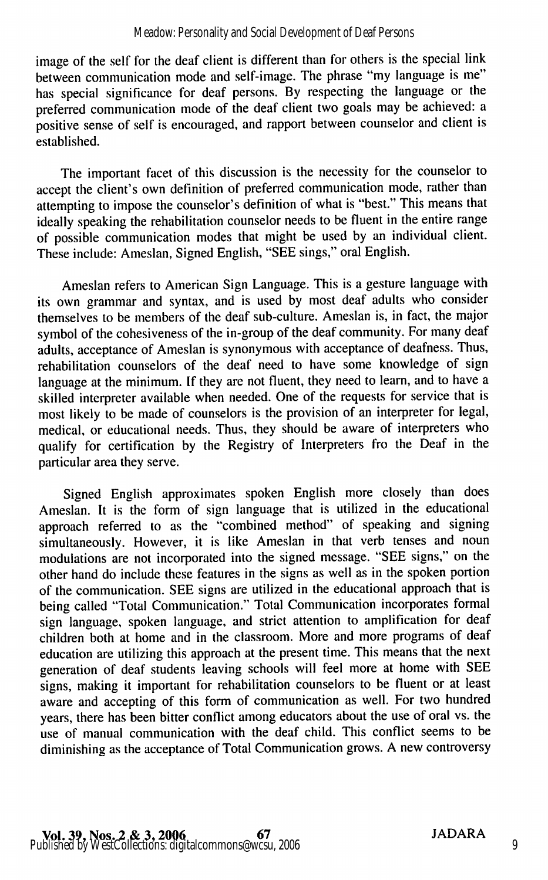#### Meadow: Personality and Social Development of Deaf Persons

image of the self for the deaf client is different than for others is the special link between communication mode and self-image. The phrase "my language is me" has special significance for deaf persons. By respecting the language or the preferred communication mode of the deaf client two goals may be achieved: a positive sense of self is encouraged, and rapport between counselor and client is established.

The important facet of this discussion is the necessity for the counselor to accept the client's own definition of preferred communication mode, rather than attempting to impose the counselor's definition of what is "best." This means that ideally speaking the rehabilitation counselor needs to be fluent in the entire range of possible communication modes that might be used by an individual client. These include: Ameslan, Signed English, "SEE sings," oral English.

Ameslan refers to American Sign Language. This is a gesture language with its own grammar and syntax, and is used by most deaf adults who consider themselves to be members of the deaf sub-culture. Ameslan is, in fact, the major symbol of the cohesiveness of the in-group of the deaf community. For many deaf adults, acceptance of Ameslan is synonymous with acceptance of deafness. Thus, rehabilitation counselors of the deaf need to have some knowledge of sign language at the minimum. If they are not fluent, they need to learn, and to have a skilled interpreter available when needed. One of the requests for service that is most likely to be made of counselors is the provision of an interpreter for legal, medical, or educational needs. Thus, they should be aware of interpreters who qualify for certification by the Registry of Interpreters fro the Deaf in the particular area they serve.

Signed English approximates spoken English more closely than does Ameslan. It is the form of sign language that is utilized in the educational approach referred to as the "combined method" of speaking and signing simultaneously. However, it is like Ameslan in that verb tenses and noun modulations are not incorporated into the signed message. "SEE signs," on the other hand do include these features in the signs as well as in the spoken portion of the communication. SEE signs are utilized in the educational approach that is being called "Total Communication." Total Communication incorporates formal sign language, spoken language, and strict attention to amplification for deaf children both at home and in the classroom. More and more programs of deaf education are utilizing this approach at the present time. This means that the next generation of deaf students leaving schools will feel more at home with SEE signs, making it important for rehabilitation counselors to be fluent or at least aware and accepting of this form of communication as well. For two hundred years, there has been bitter conflict among educators about the use of oral vs. the use of manual communication with the deaf child. This conflict seems to be diminishing as the acceptance of Total Communication grows. A new controversy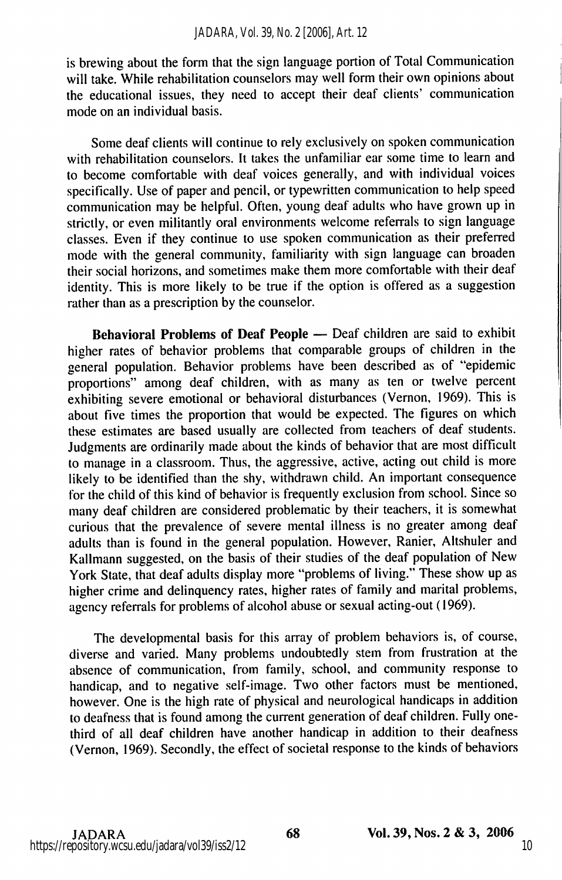is brewing about the form that the sign language portion of Total Communication will take. While rehabilitation counselors may well form their own opinions about the educational issues, they need to accept their deaf clients' communication mode on an individual basis.

Some deaf clients will continue to rely exclusively on spoken communication with rehabilitation counselors. It takes the unfamiliar ear some time to learn and to become comfortable with deaf voices generally, and with individual voices specifically. Use of paper and pencil, or typewritten communication to help speed communication may be helpful. Often, young deaf adults who have grown up in strictly, or even militantly oral environments welcome referrals to sign language classes. Even if they continue to use spoken communication as their preferred mode with the general community, familiarity with sign language can broaden their social horizons, and sometimes make them more comfortable with their deaf identity. This is more likely to be true if the option is offered as a suggestion rather than as a prescription by the counselor.

Behavioral Problems of Deaf People — Deaf children are said to exhibit higher rates of behavior problems that comparable groups of children in the general population. Behavior problems have been described as of "epidemic proportions" among deaf children, with as many as ten or twelve percent exhibiting severe emotional or behavioral disturbances (Vernon, 1969). This is about five times the proportion that would be expected. The figures on which these estimates are based usually are collected from teachers of deaf students. Judgments are ordinarily made about the kinds of behavior that are most difficult to manage in a classroom. Thus, the aggressive, active, acting out child is more likely to be identified than the shy, withdrawn child. An important consequence for the child of this kind of behavior is frequently exclusion from school. Since so many deaf children are considered problematic by their teachers, it is somewhat curious that the prevalence of severe mental illness is no greater among deaf adults than is found in the general population. However, Ranier, Altshuler and Kallmann suggested, on the basis of their studies of the deaf population of New York State, that deaf adults display more "problems of living." These show up as higher crime and delinquency rates, higher rates of family and marital problems, agency referrals for problems of alcohol abuse or sexual acting-out (1969).

The developmental basis for this array of problem behaviors is, of course, diverse and varied. Many problems undoubtedly stem from frustration at the absence of communication, from family, school, and community response to handicap, and to negative self-image. Two other factors must be mentioned, however. One is the high rate of physical and neurological handicaps in addition to deafness that is found among the current generation of deaf children. Fully onethird of all deaf children have another handicap in addition to their deafness (Vernon, 1969). Secondly, the effect of societal response to the kinds of behaviors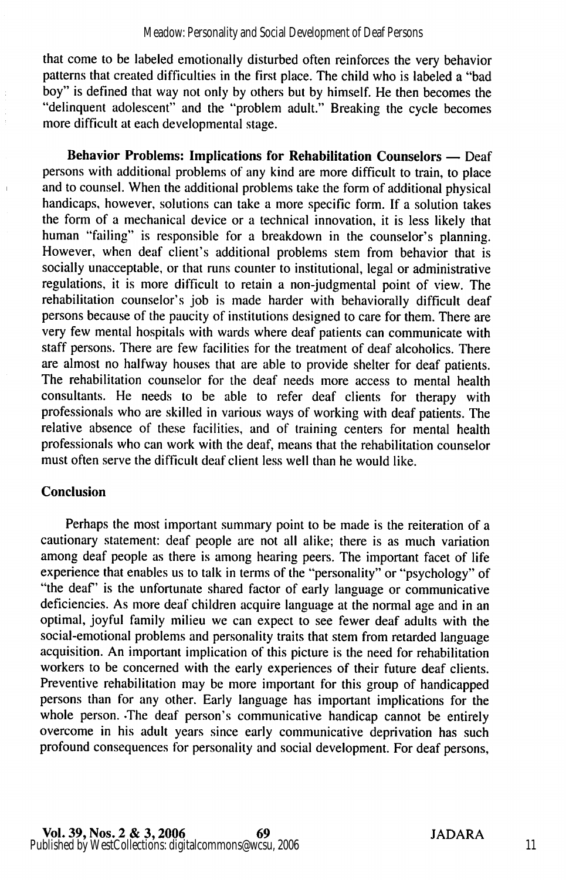that come to be labeled emotionally disturbed often reinforces the very behavior patterns that created difficulties in the first place. The child who is labeled a "bad boy" is defined that way not only by others but by himself. He then becomes the "delinquent adolescent" and the "problem adult." Breaking the cycle becomes more difficult at each developmental stage.

Behavior Problems: Implications for Rehabilitation Counselors — Deaf persons with additional problems of any kind are more difficult to train, to place and to counsel. When the additional problems take the form of additional physical handicaps, however, solutions can take a more specific form. If a solution takes the form of a mechanical device or a technical innovation, it is less likely that human "failing" is responsible for a breakdown in the counselor's planning. However, when deaf client's additional problems stem from behavior that is socially unacceptable, or that runs counter to institutional, legal or administrative regulations, it is more difficult to retain a non-judgmental point of view. The rehabilitation counselor's job is made harder with behaviorally difficult deaf persons because of the paucity of institutions designed to care for them. There are very few mental hospitals with wards where deaf patients can communicate with staff persons. There are few facilities for the treatment of deaf alcoholics. There are almost no halfway houses that are able to provide shelter for deaf patients. The rehabilitation counselor for the deaf needs more access to mental health consultants. He needs to be able to refer deaf clients for therapy with professionals who are skilled in various ways of working with deaf patients. The relative absence of these facilities, and of training centers for mental health professionals who can work with the deaf, means that the rehabilitation counselor must often serve the difficult deaf client less well than he would like.

## Conclusion

Perhaps the most important summary point to be made is the reiteration of a cautionary statement: deaf people are not all alike; there is as much variation among deaf people as there is among hearing peers. The important facet of life experience that enables us to talk in terms of the "personality" or "psychology" of "the deaf" is the unfortunate shared factor of early language or communicative deficiencies. As more deaf children acquire language at the normal age and in an optimal, joyful family milieu we can expect to see fewer deaf adults with the social-emotional problems and personality traits that stem from retarded language acquisition. An important implication of this picture is the need for rehabilitation workers to be concerned with the early experiences of their future deaf clients. Preventive rehabilitation may be more important for this group of handicapped persons than for any other. Early language has important implications for the whole person. -The deaf person's communicative handicap cannot be entirely overcome in his adult years since early communicative deprivation has such profound consequences for personality and social development. For deaf persons.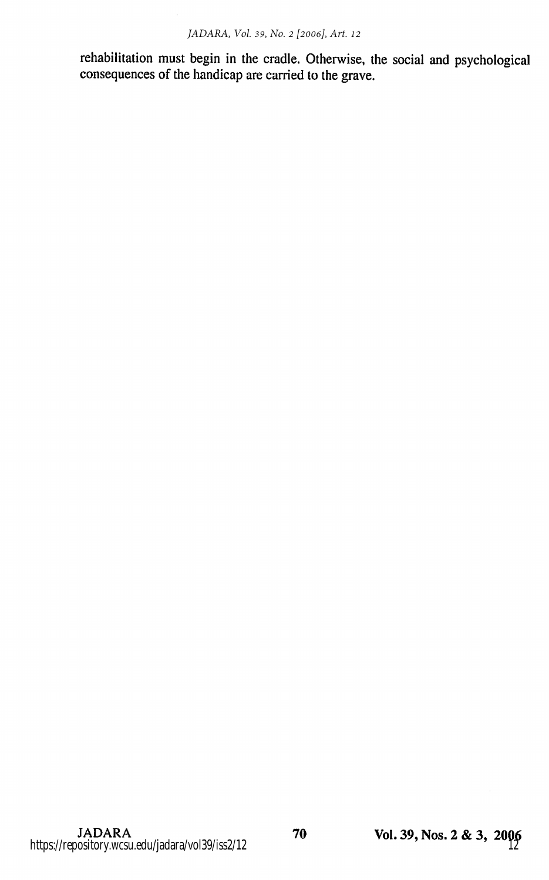rehabilitation must begin in the cradle. Otherwise, the social and psychological consequences of the handicap are carried to the grave.